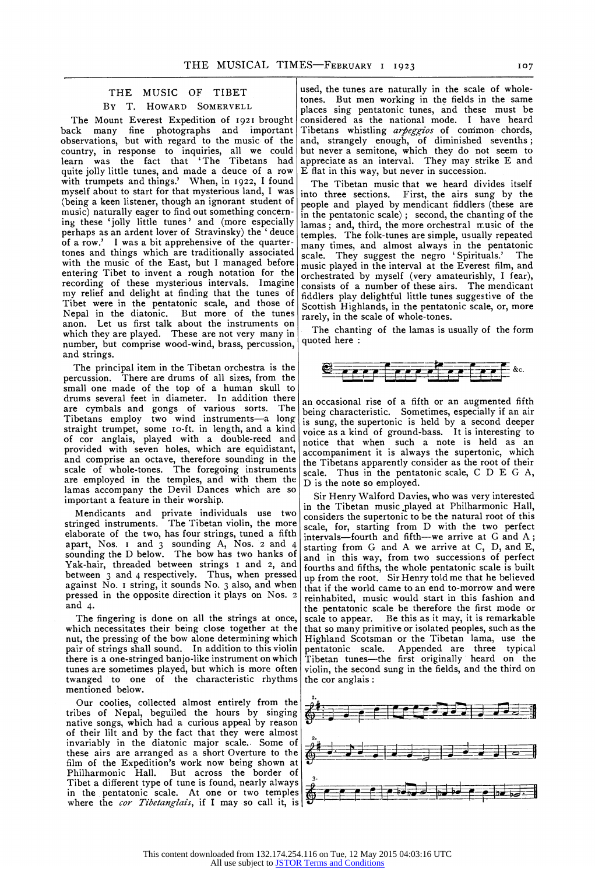## **THE MUSIC OF TIBET BY T. HOWARD SOMERVELL**

**The Mount Everest Expedition of I92I brought back many fine photographs and important observations, but with regard to the music of the country, in response to inquiries, all we could learn was the fact that 'The Tibetans had quite jolly little tunes, and made a deuce of a row with trumpets and things.' When, in I922, I found myself about to start for that mysterious land, I was (being a keen listener, though an ignorant student of music) naturally eager to find out something concerning these 'jolly little tunes' and (more especially perhaps as an ardent lover of Stravinsky) the ' deuce of a row.' I was a bit apprehensive of the quartertones and things which are traditionally associated with the music of the East, but I managed before entering Tibet to invent a rough notation for the recording of these mysterious intervals. Imagine my relief and delight at finding that the tunes of Tibet were in the pentatonic scale, and those of Nepal in the diatonic. But more of the tunes anon. Let us first talk about the instruments on which they are played. These are not very many in number, but comprise wood-wind, brass, percussion, and strings.** 

**The principal item in the Tibetan orchestra is the percussion. There are drums of all sizes, from the small one made of the top of a human skull to drums several feet in diameter. In addition there are cymbals and gongs of various sorts. The Tibetans employ two wind instruments-a long straight trumpet, some Io-ft. in length, and a kind of cor anglais, played with a double-reed and provided with seven holes, which are equidistant, and comprise an octave, therefore sounding in the scale of whole-tones. The foregoing instruments are employed in the temples, and with them the lamas accompany the Devil Dances which are so important a feature in their worship.** 

**Mendicants and private individuals use two stringed instruments. The Tibetan violin, the more elaborate of the two, has four strings, tuned a fifth apart, Nos. I and 3 sounding A, Nos. 2 and 4 sounding the D below. The bow has two hanks of Yak-hair, threaded between strings 1 and 2, and between 3 and 4 respectively. Thus, when pressed against No. I string, it sounds No. 3 also, and when pressed in the opposite direction it plays on Nos. 2 and 4.** 

**The fingering is done on all the strings at once, which necessitates their being close together at the nut, the pressing of the bow alone determining which pair of strings shall sound. In addition to this violin there is a one-stringed banjo-like instrument on which tunes are sometimes played, but which is more often twanged to one of the characteristic rhythms mentioned below.** 

**Our coolies, collected almost entirely from the tribes of Nepal, beguiled the hours by singing native songs, which had a curious appeal by reason of their lilt and by the fact that they were almost invariably in the diatonic major scale.. Some of these airs are arranged as a short Overture to the film of the Expedition's work now being shown at Philharmonic Hall. But across the border of Tibet a different type of tune is found, nearly always in the pentatonic scale. At one or two temples where the cor Tibetanglais, if I may so call it, is** 

**used, the tunes are naturally in the scale of wholetones. But men working in the fields in the same places sing pentatonic tunes, and these must be considered as the national mode. I have heard Tibetans whistling arpeggios of common chords,**  and, strangely enough, of diminished sevenths; **but never a semitone, which they do not seem to appreciate as an interval. They may strike E and E flat in this way, but never in succession.** 

**The Tibetan music that we heard divides itself into three sections. First, the airs sung by the people and played by mendicant fiddlers (these are in the pentatonic scale); second, the chanting of the lamas; and, third, the more orchestral music of the temples. The folk-tunes are simple, usually repeated many times, and almost always in the pentatonic scale. They suggest the negro 'Spirituals.' The music played in the interval at the Everest film, and orchestrated by myself (very amateurishly, I fear), consists of a number of these airs. The mendicant fiddlers play delightful little tunes suggestive of the Scottish Highlands, in the pentatonic scale, or, more rarely, in the scale of whole-tones.** 

**The chanting of the lamas is usually of the form quoted here:** 



**an occasional rise of a fifth or an augmented fifth being characteristic. Sometimes, especially if an air is sung, the supertonic is held by a second deeper voice as a kind of ground-bass. It is interesting to notice that when such a note is held as an accompaniment it is always the supertonic, which the Tibetans apparently consider as the root of their scale. Thus in the pentatonic scale, C D E G A, D is the note so employed.** 

**Sir Henry Walford Davies, who was very interested in the Tibetan music played at Philharmonic Hall, considers the supertonic to be the natural root of this scale, for, starting from D with the two perfect intervals-fourth and fifth-we arrive at G and A; starting from G and A we arrive at C, D, and E, and in this way, from two successions of perfect fourths and fifths, the whole pentatonic scale is built up from the root. Sir Henry told me that he believed that if the world came to an end to-morrow and were reinhabited, music would start in this fashion and the pentatonic scale be therefore the first mode or scale to appear. Be this as it may, it is remarkable that so many primitive or isolated peoples, such as the Highland Scotsman or the Tibetan lama, use the pentatonic scale. Appended are three typical Tibetan tunes-the first originally heard on the violin, the second sung in the fields, and the third on the cor anglais:**